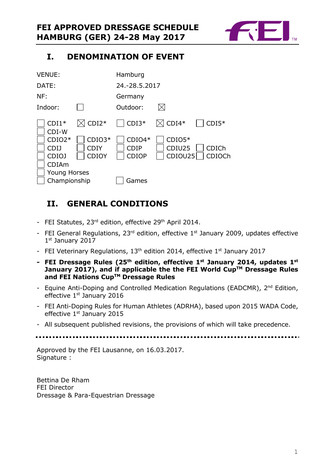

# **I. DENOMINATION OF EVENT**

| <b>VENUE:</b>                                |                                  | Hamburg                                 |                               |                        |
|----------------------------------------------|----------------------------------|-----------------------------------------|-------------------------------|------------------------|
| DATE:                                        |                                  | 24.-28.5.2017                           |                               |                        |
| NF:                                          |                                  | Germany                                 |                               |                        |
| Indoor:                                      |                                  | Outdoor:                                | $\boxtimes$                   |                        |
| $CDI1*$<br>$CDI-W$                           | $\boxtimes$ CDI2*                | $CDI3*$                                 | $\boxtimes$ CDI4*             | $CDI5*$                |
| $CDIO2*$<br><b>CDIJ</b><br>CDIO <sub>J</sub> | $CDIO3*$<br><b>CDIY</b><br>CDIOY | $CDIO4*$<br><b>CDIP</b><br><b>CDIOP</b> | $CDIO5*$<br>CDIU25<br>CDIOU25 | <b>CDICh</b><br>CDIOCh |
| CDIAm<br><b>Young Horses</b><br>Championship |                                  | Games                                   |                               |                        |

# **II. GENERAL CONDITIONS**

- FEI Statutes, 23<sup>rd</sup> edition, effective 29<sup>th</sup> April 2014.
- FEI General Regulations,  $23^{rd}$  edition, effective  $1^{st}$  January 2009, updates effective 1st January 2017
- FEI Veterinary Regulations, 13<sup>th</sup> edition 2014, effective 1<sup>st</sup> January 2017
- **- FEI Dressage Rules (25 th edition, effective 1st January 2014, updates 1 st January 2017), and if applicable the the FEI World CupTM Dressage Rules and FEI Nations CupTM Dressage Rules**
- Equine Anti-Doping and Controlled Medication Regulations (EADCMR), 2<sup>nd</sup> Edition, effective 1<sup>st</sup> January 2016
- FEI Anti-Doping Rules for Human Athletes (ADRHA), based upon 2015 WADA Code, effective 1<sup>st</sup> January 2015
- All subsequent published revisions, the provisions of which will take precedence.

Approved by the FEI Lausanne, on 16.03.2017. Signature :

Bettina De Rham FEI Director Dressage & Para-Equestrian Dressage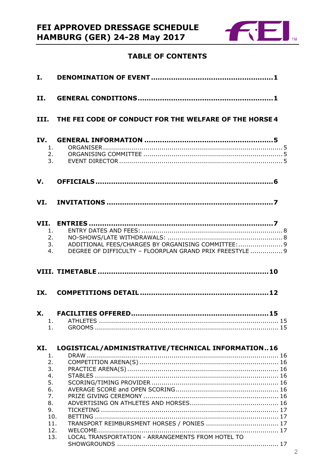

# **TABLE OF CONTENTS**

| I.                    |                                                                                                                 |
|-----------------------|-----------------------------------------------------------------------------------------------------------------|
| II.                   |                                                                                                                 |
|                       | III. THE FEI CODE OF CONDUCT FOR THE WELFARE OF THE HORSE 4                                                     |
| IV.<br>1.<br>2.<br>3. |                                                                                                                 |
| V.                    |                                                                                                                 |
|                       |                                                                                                                 |
| 1.<br>2.<br>3.<br>4.  | ADDITIONAL FEES/CHARGES BY ORGANISING COMMITTEE:  9<br>DEGREE OF DIFFICULTY - FLOORPLAN GRAND PRIX FREESTYLE  9 |
|                       |                                                                                                                 |
|                       |                                                                                                                 |
| IX.                   |                                                                                                                 |
| 1.                    | 1 ATHI FTFS                                                                                                     |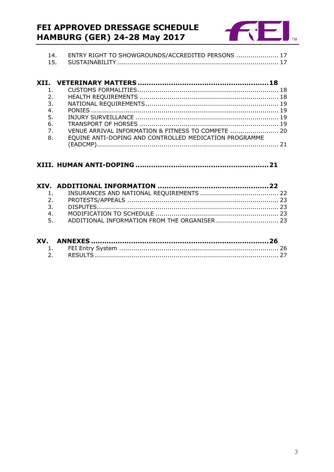# FEI APPROVED DRESSAGE SCHEDULE **HAMBURG (GER) 24-28 May 2017**



| ENTRY RIGHT TO SHOWGROUNDS/ACCREDITED PERSONS  17 |  |
|---------------------------------------------------|--|
|                                                   |  |

| 2.             |                                                        |  |
|----------------|--------------------------------------------------------|--|
| 3.             |                                                        |  |
| 4.             |                                                        |  |
| 5.             |                                                        |  |
| 6.             |                                                        |  |
| 7 <sup>1</sup> | VENUE ARRIVAL INFORMATION & FITNESS TO COMPETE  20     |  |
| 8.             | EOUINE ANTI-DOPING AND CONTROLLED MEDICATION PROGRAMME |  |
|                |                                                        |  |

# 

| 4. |                                                  |  |
|----|--------------------------------------------------|--|
|    | 5. ADDITIONAL INFORMATION FROM THE ORGANISER  23 |  |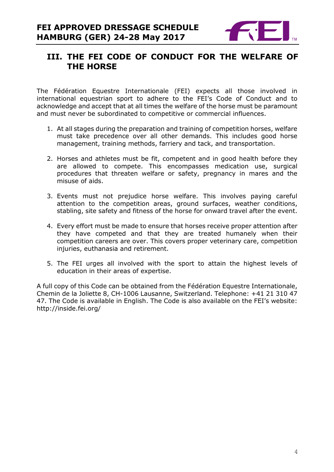

# **III. THE FEI CODE OF CONDUCT FOR THE WELFARE OF THE HORSE**

The Fédération Equestre Internationale (FEI) expects all those involved in international equestrian sport to adhere to the FEI's Code of Conduct and to acknowledge and accept that at all times the welfare of the horse must be paramount and must never be subordinated to competitive or commercial influences.

- 1. At all stages during the preparation and training of competition horses, welfare must take precedence over all other demands. This includes good horse management, training methods, farriery and tack, and transportation.
- 2. Horses and athletes must be fit, competent and in good health before they are allowed to compete. This encompasses medication use, surgical procedures that threaten welfare or safety, pregnancy in mares and the misuse of aids.
- 3. Events must not prejudice horse welfare. This involves paying careful attention to the competition areas, ground surfaces, weather conditions, stabling, site safety and fitness of the horse for onward travel after the event.
- 4. Every effort must be made to ensure that horses receive proper attention after they have competed and that they are treated humanely when their competition careers are over. This covers proper veterinary care, competition injuries, euthanasia and retirement.
- 5. The FEI urges all involved with the sport to attain the highest levels of education in their areas of expertise.

A full copy of this Code can be obtained from the Fédération Equestre Internationale, Chemin de la Joliette 8, CH-1006 Lausanne, Switzerland. Telephone: +41 21 310 47 47. The Code is available in English. The Code is also available on the FEI's website: http://inside.fei.org/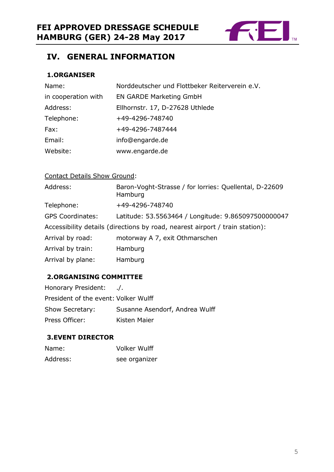

# **IV. GENERAL INFORMATION**

# **1.ORGANISER**

| Name:               | Norddeutscher und Flottbeker Reiterverein e.V. |
|---------------------|------------------------------------------------|
| in cooperation with | <b>EN GARDE Marketing GmbH</b>                 |
| Address:            | Ellhornstr. 17, D-27628 Uthlede                |
| Telephone:          | +49-4296-748740                                |
| Fax:                | +49-4296-7487444                               |
| Email:              | info@engarde.de                                |
| Website:            | www.engarde.de                                 |

# Contact Details Show Ground:

| Address:                | Baron-Voght-Strasse / for lorries: Quellental, D-22609<br>Hamburg            |
|-------------------------|------------------------------------------------------------------------------|
| Telephone:              | +49-4296-748740                                                              |
| <b>GPS Coordinates:</b> | Latitude: 53.5563464 / Longitude: 9.865097500000047                          |
|                         | Accessibility details (directions by road, nearest airport / train station): |
| Arrival by road:        | motorway A 7, exit Othmarschen                                               |
| Arrival by train:       | Hamburg                                                                      |
| Arrival by plane:       | Hamburg                                                                      |

# **2.ORGANISING COMMITTEE**

| Honorary President:                  | $\overline{a}$ .               |
|--------------------------------------|--------------------------------|
| President of the event: Volker Wulff |                                |
| Show Secretary:                      | Susanne Asendorf, Andrea Wulff |
| Press Officer:                       | Kisten Maier                   |

## **3.EVENT DIRECTOR**

| Name:    | <b>Volker Wulff</b> |
|----------|---------------------|
| Address: | see organizer       |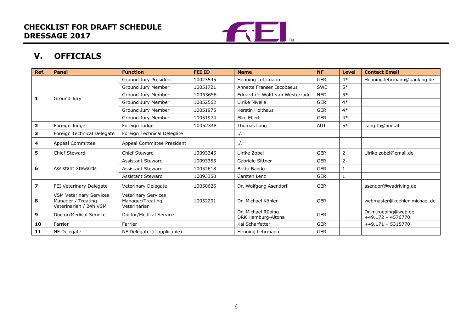

# **V. OFFICIALS**

| Ref.                    | <b>Panel</b>                                                                   | <b>Function</b>                                         | <b>FEI ID</b> | <b>Name</b>                              | <b>NF</b>  | Level | <b>Contact Email</b>                       |
|-------------------------|--------------------------------------------------------------------------------|---------------------------------------------------------|---------------|------------------------------------------|------------|-------|--------------------------------------------|
|                         |                                                                                | Ground Jury President                                   | 10023545      | Henning Lehrmann                         | <b>GER</b> | $4*$  | Henning.lehrmann@bauking.de                |
|                         |                                                                                | Ground Jury Member                                      | 10051721      | Annette Fransen Iacobaeus                | <b>SWE</b> | $5*$  |                                            |
| 1                       | Ground Jury                                                                    | Ground Jury Member                                      | 10053656      | Eduard de Wolff van Westerrode           | <b>NED</b> | $5*$  |                                            |
|                         |                                                                                | Ground Jury Member                                      | 10052562      | Ulrike Nivelle                           | <b>GER</b> | $4*$  |                                            |
|                         |                                                                                | Ground Jury Member                                      | 10051975      | <b>Kerstin Holthaus</b>                  | <b>GER</b> | $4*$  |                                            |
|                         |                                                                                | Ground Jury Member                                      | 10051974      | Elke Ebert                               | <b>GER</b> | $4*$  |                                            |
| $\overline{\mathbf{2}}$ | Foreign Judge                                                                  | Foreign Judge                                           | 10052348      | Thomas Lang                              | <b>AUT</b> | $5*$  | Lang.th@aon.at                             |
| 3                       | Foreign Technical Delegate                                                     | Foreign Technical Delegate                              |               | $\cdot$ /.                               |            |       |                                            |
| 4                       | Appeal Committee                                                               | Appeal Committee President                              |               | $\cdot$ /.                               |            |       |                                            |
| 5                       | <b>Chief Steward</b>                                                           | Chief Steward                                           | 10093345      | Ulrike Zobel                             | <b>GER</b> | 2     | Ulrike.zobel@email.de                      |
|                         |                                                                                | Assistant Steward                                       | 10093355      | Gabriele Sittner                         | <b>GER</b> | 2     |                                            |
| 6                       | <b>Assistant Stewards</b>                                                      | <b>Assistant Steward</b>                                | 10052618      | Britta Bando                             | <b>GER</b> |       |                                            |
|                         |                                                                                | Assistant Steward                                       | 10093350      | Carsten Lenz                             | <b>GER</b> |       |                                            |
| 7                       | FEI Veterinary Delegate                                                        | Veterinary Delegate                                     | 10050626      | Dr. Wolfgang Asendorf                    | <b>GER</b> |       | asendorf@wadriving.de                      |
| 8                       | <b>VSM Veterinary Services</b><br>Manager / Treating<br>Veterinarian / 24h VSM | Veterinary Services<br>Manager/Treating<br>Veterinarian | 10052201      | Dr. Michael Köhler                       | <b>GER</b> |       | webmaster@koehler-michael.de               |
| 9                       | Doctor/Medical Service                                                         | Doctor/Medical Service                                  |               | Dr. Michael Rüping<br>DRK Hamburg-Altona | <b>GER</b> |       | Dr.m.rueping@web.de<br>$+49.172 - 4576770$ |
| 10                      | Farrier                                                                        | Farrier                                                 |               | Kai Scharfetter                          | <b>GER</b> |       | $+49.171 - 5315770$                        |
| 11                      | NF Delegate                                                                    | NF Delegate (if applicable)                             |               | Henning Lehrmann                         | <b>GER</b> |       |                                            |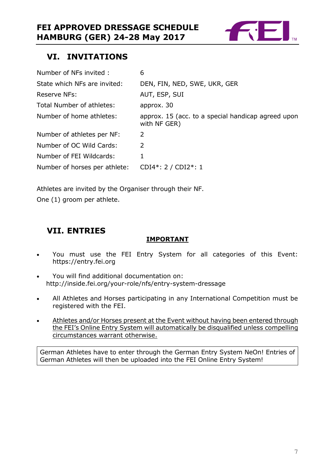

# **VI. INVITATIONS**

| Number of NFs invited:        | 6                                                                  |
|-------------------------------|--------------------------------------------------------------------|
| State which NFs are invited:  | DEN, FIN, NED, SWE, UKR, GER                                       |
| Reserve NFs:                  | AUT, ESP, SUI                                                      |
| Total Number of athletes:     | approx. 30                                                         |
| Number of home athletes:      | approx. 15 (acc. to a special handicap agreed upon<br>with NF GER) |
| Number of athletes per NF:    | 2                                                                  |
| Number of OC Wild Cards:      | 2                                                                  |
| Number of FEI Wildcards:      | 1                                                                  |
| Number of horses per athlete: | CDI4*: $2 / CDI2$ *: 1                                             |

Athletes are invited by the Organiser through their NF.

One (1) groom per athlete.

# **VII. ENTRIES**

## **IMPORTANT**

- You must use the FEI Entry System for all categories of this Event: https://entry.fei.org
- You will find additional documentation on: http://inside.fei.org/your-role/nfs/entry-system-dressage
- All Athletes and Horses participating in any International Competition must be registered with the FEI.
- Athletes and/or Horses present at the Event without having been entered through the FEI's Online Entry System will automatically be disqualified unless compelling circumstances warrant otherwise.

German Athletes have to enter through the German Entry System NeOn! Entries of German Athletes will then be uploaded into the FEI Online Entry System!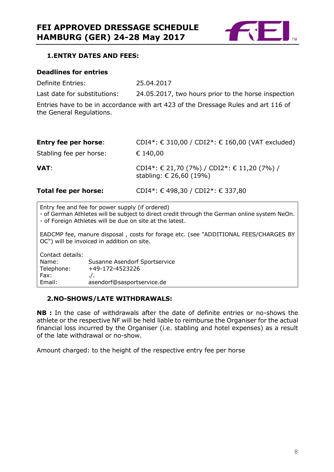

#### **1.ENTRY DATES AND FEES:**

#### **Deadlines for entries**

Definite Entries: 25.04.2017

Last date for substitutions: 24.05.2017, two hours prior to the horse inspection

Entries have to be in accordance with art 423 of the Dressage Rules and art 116 of the General Regulations.

| <b>Entry fee per horse:</b> | CDI4*: € 310,00 / CDI2*: € 160,00 (VAT excluded)                         |
|-----------------------------|--------------------------------------------------------------------------|
| Stabling fee per horse:     | € 140,00                                                                 |
| VAT:                        | CDI4*: € 21,70 (7%) / CDI2*: € 11,20 (7%) /<br>stabling: $€ 26,60 (19%)$ |
| Total fee per horse:        | CDI4*: €498,30 / CDI2*: €337,80                                          |

Entry fee and fee for power supply (if ordered)

- of German Athletes will be subject to direct credit through the German online system NeOn. - of Foreign Athletes will be due on site at the latest.

EADCMP fee, manure disposal , costs for forage etc. (see "ADDITIONAL FEES/CHARGES BY OC") will be invoiced in addition on site.

Contact details:<br>Name: Susanne Asendorf Sportservice Telephone: +49-172-4523226  $Fax:$   $\qquad \qquad \ldots$ Email: asendorf@sasportservice.de

#### **2.NO-SHOWS/LATE WITHDRAWALS:**

**NB :** In the case of withdrawals after the date of definite entries or no-shows the athlete or the respective NF will be held liable to reimburse the Organiser for the actual financial loss incurred by the Organiser (i.e. stabling and hotel expenses) as a result of the late withdrawal or no-show.

Amount charged: to the height of the respective entry fee per horse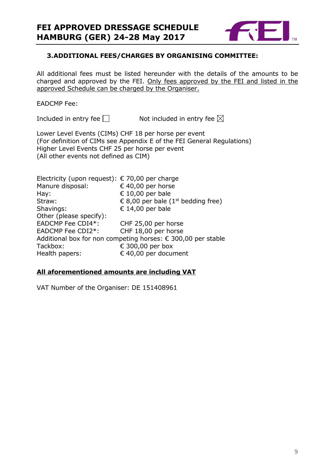

#### **3.ADDITIONAL FEES/CHARGES BY ORGANISING COMMITTEE:**

All additional fees must be listed hereunder with the details of the amounts to be charged and approved by the FEI. Only fees approved by the FEI and listed in the approved Schedule can be charged by the Organiser.

#### EADCMP Fee:

Included in entry fee  $\square$  Not included in entry fee  $\square$ 

Lower Level Events (CIMs) CHF 18 per horse per event (For definition of CIMs see Appendix E of the FEI General Regulations) Higher Level Events CHF 25 per horse per event (All other events not defined as CIM)

Electricity (upon request):  $\epsilon$  70,00 per charge Manure disposal:  $640,00$  per horse Hay:  $\epsilon$  10,00 per bale Straw:  $\epsilon$  8,00 per bale (1<sup>st</sup> bedding free) Shavings: € 14,00 per bale Other (please specify): EADCMP Fee CDI4\*: CHF 25,00 per horse EADCMP Fee CDI2\*: CHF 18,00 per horse Additional box for non competing horses: € 300,00 per stable Tackbox:  $\epsilon$  300,00 per box Health papers: € 40,00 per document

#### **All aforementioned amounts are including VAT**

VAT Number of the Organiser: DE 151408961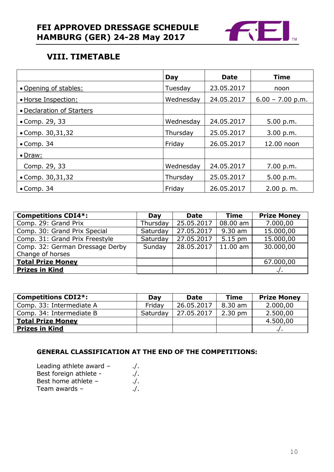

# **VIII. TIMETABLE**

|                           | Day       | <b>Date</b> | <b>Time</b>        |
|---------------------------|-----------|-------------|--------------------|
| • Opening of stables:     | Tuesday   | 23.05.2017  | noon               |
| · Horse Inspection:       | Wednesday | 24.05.2017  | $6.00 - 7.00$ p.m. |
| • Declaration of Starters |           |             |                    |
| • Comp. 29, 33            | Wednesday | 24.05.2017  | 5.00 p.m.          |
| • Comp. $30,31,32$        | Thursday  | 25.05.2017  | 3.00 p.m.          |
| $\bullet$ Comp. 34        | Friday    | 26.05.2017  | 12.00 noon         |
| • Draw:                   |           |             |                    |
| Comp. 29, 33              | Wednesday | 24.05.2017  | 7.00 p.m.          |
| • Comp. $30,31,32$        | Thursday  | 25.05.2017  | 5.00 p.m.          |
| $\bullet$ Comp. 34        | Friday    | 26.05.2017  | 2.00 p.m.          |

| <b>Competitions CDI4*:</b>      | Day      | <b>Date</b>             | <b>Time</b>       | <b>Prize Money</b> |
|---------------------------------|----------|-------------------------|-------------------|--------------------|
| Comp. 29: Grand Prix            | Thursday | 25.05.2017              | 08.00 am          | 7.000,00           |
| Comp. 30: Grand Prix Special    | Saturday | $\overline{27.05.2017}$ | 9.30 am           | 15.000,00          |
| Comp. 31: Grand Prix Freestyle  | Saturday | 27.05.2017              | $5.15 \text{ pm}$ | 15.000,00          |
| Comp. 32: German Dressage Derby | Sunday   | 28.05.2017              | $11.00$ am        | 30.000,00          |
| Change of horses                |          |                         |                   |                    |
| <b>Total Prize Money</b>        |          |                         |                   | 67.000,00          |
| <b>Prizes in Kind</b>           |          |                         |                   |                    |

| <b>Competitions CDI2*:</b> | Dav      | <b>Date</b> | <b>Time</b>       | <b>Prize Money</b> |
|----------------------------|----------|-------------|-------------------|--------------------|
| Comp. 33: Intermediate A   | Fridav   | 26.05.2017  | 8.30 am           | 2.000,00           |
| Comp. 34: Intermediate B   | Saturday | 27.05.2017  | $2.30 \text{ pm}$ | 2.500,00           |
| <b>Total Prize Money</b>   |          |             |                   | 4.500,00           |
| <b>Prizes in Kind</b>      |          |             |                   |                    |

#### **GENERAL CLASSIFICATION AT THE END OF THE COMPETITIONS:**

| Leading athlete award - | $\cdot$ /. |
|-------------------------|------------|
| Best foreign athlete -  | $\cdot$ .  |
| Best home athlete -     | $\cdot$ .  |
| Team awards -           | $\cdot$ .  |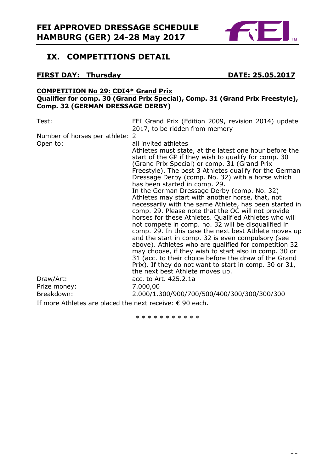

# **IX. COMPETITIONS DETAIL**

## **FIRST DAY: Thursday DATE: 25.05.2017**

#### **COMPETITION No 29: CDI4\* Grand Prix Qualifier for comp. 30 (Grand Prix Special), Comp. 31 (Grand Prix Freestyle), Comp. 32 (GERMAN DRESSAGE DERBY)**

Test: FEI Grand Prix (Edition 2009, revision 2014) update 2017, to be ridden from memory

Number of horses per athlete: 2

| Open to:<br>Draw/Art:<br>Prize money: | all invited athletes<br>Athletes must state, at the latest one hour before the<br>start of the GP if they wish to qualify for comp. 30<br>(Grand Prix Special) or comp. 31 (Grand Prix<br>Freestyle). The best 3 Athletes qualify for the German<br>Dressage Derby (comp. No. 32) with a horse which<br>has been started in comp. 29.<br>In the German Dressage Derby (comp. No. 32)<br>Athletes may start with another horse, that, not<br>necessarily with the same Athlete, has been started in<br>comp. 29. Please note that the OC will not provide<br>horses for these Athletes. Qualified Athletes who will<br>not compete in comp. no. 32 will be disqualified in<br>comp. 29. In this case the next best Athlete moves up<br>and the start in comp. 32 is even compulsory (see<br>above). Athletes who are qualified for competition 32<br>may choose, if they wish to start also in comp. 30 or<br>31 (acc. to their choice before the draw of the Grand<br>Prix). If they do not want to start in comp. 30 or 31,<br>the next best Athlete moves up.<br>acc. to Art. 425.2.1a<br>7.000,00 |
|---------------------------------------|------------------------------------------------------------------------------------------------------------------------------------------------------------------------------------------------------------------------------------------------------------------------------------------------------------------------------------------------------------------------------------------------------------------------------------------------------------------------------------------------------------------------------------------------------------------------------------------------------------------------------------------------------------------------------------------------------------------------------------------------------------------------------------------------------------------------------------------------------------------------------------------------------------------------------------------------------------------------------------------------------------------------------------------------------------------------------------------------------|
| Breakdown:                            | 2.000/1.300/900/700/500/400/300/300/300/300                                                                                                                                                                                                                                                                                                                                                                                                                                                                                                                                                                                                                                                                                                                                                                                                                                                                                                                                                                                                                                                          |

If more Athletes are placed the next receive: € 90 each.

\* \* \* \* \* \* \* \* \* \*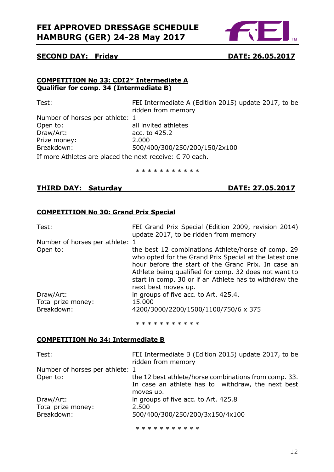

#### **SECOND DAY: Friday DATE: 26.05.2017**

#### **COMPETITION No 33: CDI2\* Intermediate A Qualifier for comp. 34 (Intermediate B)**

| Test:                                                              | FEI Intermediate A (Edition 2015) update 2017, to be |
|--------------------------------------------------------------------|------------------------------------------------------|
|                                                                    | ridden from memory                                   |
| Number of horses per athlete: 1                                    |                                                      |
| Open to:                                                           | all invited athletes                                 |
| Draw/Art:                                                          | acc. to 425.2                                        |
| Prize money:                                                       | 2.000                                                |
| Breakdown:                                                         | 500/400/300/250/200/150/2x100                        |
| If $max_{n=1}$ Athletes are placed the part resolution $C$ 70 each |                                                      |

If more Athletes are placed the next receive:  $\epsilon$  70 each.

\* \* \* \* \* \* \* \* \* \*

## **THIRD DAY: Saturday DATE: 27.05.2017**

## **COMPETITION No 30: Grand Prix Special**

| Test:                           | FEI Grand Prix Special (Edition 2009, revision 2014)<br>update 2017, to be ridden from memory                                                                                                                                                                                                                 |
|---------------------------------|---------------------------------------------------------------------------------------------------------------------------------------------------------------------------------------------------------------------------------------------------------------------------------------------------------------|
| Number of horses per athlete: 1 |                                                                                                                                                                                                                                                                                                               |
| Open to:                        | the best 12 combinations Athlete/horse of comp. 29<br>who opted for the Grand Prix Special at the latest one<br>hour before the start of the Grand Prix. In case an<br>Athlete being qualified for comp. 32 does not want to<br>start in comp. 30 or if an Athlete has to withdraw the<br>next best moves up. |
| Draw/Art:                       | in groups of five acc. to Art. 425.4.                                                                                                                                                                                                                                                                         |
| Total prize money:              | 15.000                                                                                                                                                                                                                                                                                                        |
| Breakdown:                      | 4200/3000/2200/1500/1100/750/6 x 375                                                                                                                                                                                                                                                                          |
|                                 | * * * * * * * * * * *                                                                                                                                                                                                                                                                                         |

#### **COMPETITION No 34: Intermediate B**

| Test:                           | FEI Intermediate B (Edition 2015) update 2017, to be<br>ridden from memory                                              |
|---------------------------------|-------------------------------------------------------------------------------------------------------------------------|
| Number of horses per athlete: 1 |                                                                                                                         |
| Open to:                        | the 12 best athlete/horse combinations from comp. 33.<br>In case an athlete has to withdraw, the next best<br>moves up. |
| Draw/Art:                       | in groups of five acc. to Art. 425.8                                                                                    |
| Total prize money:              | 2.500                                                                                                                   |
| Breakdown:                      | 500/400/300/250/200/3x150/4x100                                                                                         |

\* \* \* \* \* \* \* \* \* \*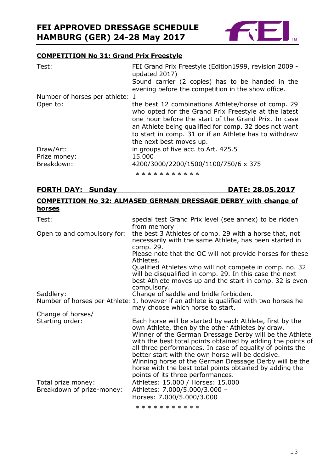

#### **COMPETITION No 31: Grand Prix Freestyle**

| Test:                           | FEI Grand Prix Freestyle (Edition1999, revision 2009 -<br>updated 2017)<br>Sound carrier (2 copies) has to be handed in the                                                                                                                                                                                     |
|---------------------------------|-----------------------------------------------------------------------------------------------------------------------------------------------------------------------------------------------------------------------------------------------------------------------------------------------------------------|
| Number of horses per athlete: 1 | evening before the competition in the show office.                                                                                                                                                                                                                                                              |
| Open to:                        | the best 12 combinations Athlete/horse of comp. 29<br>who opted for the Grand Prix Freestyle at the latest<br>one hour before the start of the Grand Prix. In case<br>an Athlete being qualified for comp. 32 does not want<br>to start in comp. 31 or if an Athlete has to withdraw<br>the next best moves up. |
| Draw/Art:                       | in groups of five acc. to Art. 425.5                                                                                                                                                                                                                                                                            |
| Prize money:                    | 15.000                                                                                                                                                                                                                                                                                                          |
| Breakdown:                      | 4200/3000/2200/1500/1100/750/6 x 375                                                                                                                                                                                                                                                                            |
|                                 | * * * * * * * * * * *                                                                                                                                                                                                                                                                                           |

## **FORTH DAY: Sunday DATE: 28.05.2017**

## **COMPETITION No 32: ALMASED GERMAN DRESSAGE DERBY with change of horses**

| Test:                                           | special test Grand Prix level (see annex) to be ridden<br>from memory                                                                                                                                                                                                                                                                                                                                                                                                                                              |
|-------------------------------------------------|--------------------------------------------------------------------------------------------------------------------------------------------------------------------------------------------------------------------------------------------------------------------------------------------------------------------------------------------------------------------------------------------------------------------------------------------------------------------------------------------------------------------|
| Open to and compulsory for:                     | the best 3 Athletes of comp. 29 with a horse that, not<br>necessarily with the same Athlete, has been started in<br>comp. 29.                                                                                                                                                                                                                                                                                                                                                                                      |
|                                                 | Please note that the OC will not provide horses for these<br>Athletes.                                                                                                                                                                                                                                                                                                                                                                                                                                             |
|                                                 | Qualified Athletes who will not compete in comp. no. 32<br>will be disqualified in comp. 29. In this case the next<br>best Athlete moves up and the start in comp. 32 is even<br>compulsory.                                                                                                                                                                                                                                                                                                                       |
| Saddlery:                                       | Change of saddle and bridle forbidden.<br>Number of horses per Athlete: 1, however if an athlete is qualified with two horses he                                                                                                                                                                                                                                                                                                                                                                                   |
| Change of horses/                               | may choose which horse to start.                                                                                                                                                                                                                                                                                                                                                                                                                                                                                   |
| Starting order:                                 | Each horse will be started by each Athlete, first by the<br>own Athlete, then by the other Athletes by draw.<br>Winner of the German Dressage Derby will be the Athlete<br>with the best total points obtained by adding the points of<br>all three performances. In case of equality of points the<br>better start with the own horse will be decisive.<br>Winning horse of the German Dressage Derby will be the<br>horse with the best total points obtained by adding the<br>points of its three performances. |
| Total prize money:<br>Breakdown of prize-money: | Athletes: 15.000 / Horses: 15.000<br>Athletes: 7.000/5.000/3.000 -<br>Horses: 7.000/5.000/3.000                                                                                                                                                                                                                                                                                                                                                                                                                    |
|                                                 | * * * * * * * * * * *                                                                                                                                                                                                                                                                                                                                                                                                                                                                                              |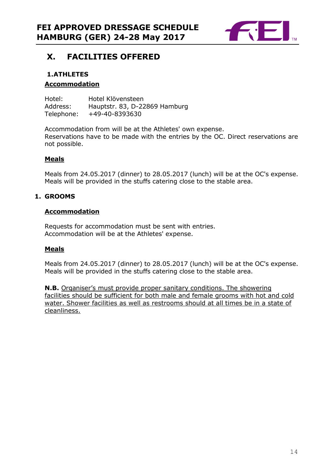

# **X. FACILITIES OFFERED**

## **1.ATHLETES Accommodation**

Hotel: Hotel Klövensteen Address: Hauptstr. 83, D-22869 Hamburg Telephone: +49-40-8393630

Accommodation from will be at the Athletes' own expense. Reservations have to be made with the entries by the OC. Direct reservations are not possible.

## **Meals**

Meals from 24.05.2017 (dinner) to 28.05.2017 (lunch) will be at the OC's expense. Meals will be provided in the stuffs catering close to the stable area.

## **1. GROOMS**

## **Accommodation**

Requests for accommodation must be sent with entries. Accommodation will be at the Athletes' expense.

## **Meals**

Meals from 24.05.2017 (dinner) to 28.05.2017 (lunch) will be at the OC's expense. Meals will be provided in the stuffs catering close to the stable area.

**N.B.** Organiser's must provide proper sanitary conditions. The showering facilities should be sufficient for both male and female grooms with hot and cold water. Shower facilities as well as restrooms should at all times be in a state of cleanliness.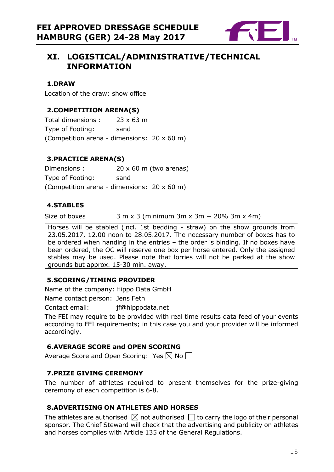

# **XI. LOGISTICAL/ADMINISTRATIVE/TECHNICAL INFORMATION**

#### **1.DRAW**

Location of the draw: show office

## **2.COMPETITION ARENA(S)**

Total dimensions : 23 x 63 m Type of Footing: sand (Competition arena - dimensions: 20 x 60 m)

## **3.PRACTICE ARENA(S)**

Dimensions : 20 x 60 m (two arenas) Type of Footing: sand (Competition arena - dimensions: 20 x 60 m)

## **4.STABLES**

Size of boxes  $3 \text{ m } x 3$  (minimum  $3 \text{ m } x 3 \text{ m } + 20\% 3 \text{ m } x 4 \text{ m}$ )

Horses will be stabled (incl. 1st bedding - straw) on the show grounds from 23.05.2017, 12.00 noon to 28.05.2017. The necessary number of boxes has to be ordered when handing in the entries – the order is binding. If no boxes have been ordered, the OC will reserve one box per horse entered. Only the assigned stables may be used. Please note that lorries will not be parked at the show grounds but approx. 15-30 min. away.

#### **5.SCORING/TIMING PROVIDER**

Name of the company: Hippo Data GmbH

Name contact person: Jens Feth

Contact email: jf@hippodata.net

The FEI may require to be provided with real time results data feed of your events according to FEI requirements; in this case you and your provider will be informed accordingly.

## **6.AVERAGE SCORE and OPEN SCORING**

Average Score and Open Scoring: Yes  $\boxtimes$  No  $\Box$ 

#### **7.PRIZE GIVING CEREMONY**

The number of athletes required to present themselves for the prize-giving ceremony of each competition is 6-8.

#### **8.ADVERTISING ON ATHLETES AND HORSES**

The athletes are authorised  $\boxtimes$  not authorised  $\Box$  to carry the logo of their personal sponsor. The Chief Steward will check that the advertising and publicity on athletes and horses complies with Article 135 of the General Regulations.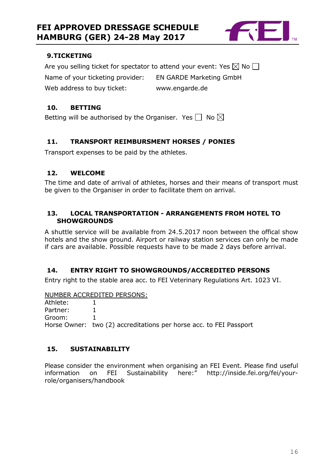

#### **9.TICKETING**

Are you selling ticket for spectator to attend your event: Yes  $\boxtimes$  No  $\Box$ Name of your ticketing provider: EN GARDE Marketing GmbH Web address to buy ticket: www.engarde.de

## **10. BETTING**

Betting will be authorised by the Organiser. Yes  $\Box$  No  $\boxtimes$ 

## **11. TRANSPORT REIMBURSMENT HORSES / PONIES**

Transport expenses to be paid by the athletes.

#### **12. WELCOME**

The time and date of arrival of athletes, horses and their means of transport must be given to the Organiser in order to facilitate them on arrival.

#### **13. LOCAL TRANSPORTATION - ARRANGEMENTS FROM HOTEL TO SHOWGROUNDS**

A shuttle service will be available from 24.5.2017 noon between the offical show hotels and the show ground. Airport or railway station services can only be made if cars are available. Possible requests have to be made 2 days before arrival.

#### **14. ENTRY RIGHT TO SHOWGROUNDS/ACCREDITED PERSONS**

Entry right to the stable area acc. to FEI Veterinary Regulations Art. 1023 VI.

#### NUMBER ACCREDITED PERSONS:

Athlete: 1 Partner: 1 Groom: 1 Horse Owner: two (2) accreditations per horse acc. to FEI Passport

## **15. SUSTAINABILITY**

Please consider the environment when organising an FEI Event. Please find useful information on FEI Sustainability here:" http://inside.fei.org/fei/yourrole/organisers/handbook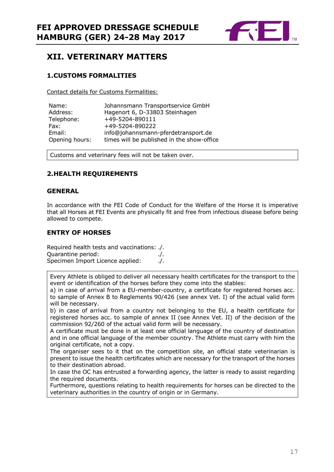

# **XII. VETERINARY MATTERS**

#### **1.CUSTOMS FORMALITIES**

Contact details for Customs Formalities:

| Name:          | Johannsmann Transportservice GmbH          |
|----------------|--------------------------------------------|
| Address:       | Hagenort 6, D-33803 Steinhagen             |
| Telephone:     | +49-5204-890111                            |
| Fax:           | +49-5204-890222                            |
| Email:         | info@johannsmann-pferdetransport.de        |
| Opening hours: | times will be published in the show-office |

Customs and veterinary fees will not be taken over.

## **2.HEALTH REQUIREMENTS**

#### **GENERAL**

In accordance with the FEI Code of Conduct for the Welfare of the Horse it is imperative that all Horses at FEI Events are physically fit and free from infectious disease before being allowed to compete.

#### **ENTRY OF HORSES**

Required health tests and vaccinations: ./. Quarantine period: ./. Specimen Import Licence applied: ./.

Every Athlete is obliged to deliver all necessary health certificates for the transport to the event or identification of the horses before they come into the stables:

a) in case of arrival from a EU-member-country, a certificate for registered horses acc. to sample of Annex B to Reglements 90/426 (see annex Vet. I) of the actual valid form will be necessary.

b) in case of arrival from a country not belonging to the EU, a health certificate for registered horses acc. to sample of annex II (see Annex Vet. II) of the decision of the commission 92/260 of the actual valid form will be necessary.

A certificate must be done in at least one official language of the country of destination and in one official language of the member country. The Athlete must carry with him the original certificate, not a copy.

The organiser sees to it that on the competition site, an official state veterinarian is present to issue the health certificates which are necessary for the transport of the horses to their destination abroad.

In case the OC has entrusted a forwarding agency, the latter is ready to assist regarding the required documents.

Furthermore, questions relating to health requirements for horses can be directed to the veterinary authorities in the country of origin or in Germany.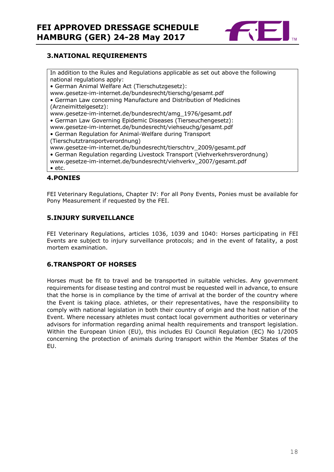

## **3.NATIONAL REQUIREMENTS**

In addition to the Rules and Regulations applicable as set out above the following national regulations apply: • German Animal Welfare Act (Tierschutzgesetz): www.gesetze-im-internet.de/bundesrecht/tierschg/gesamt.pdf • German Law concerning Manufacture and Distribution of Medicines (Arzneimittelgesetz): www.gesetze-im-internet.de/bundesrecht/amg\_1976/gesamt.pdf • German Law Governing Epidemic Diseases (Tierseuchengesetz): www.gesetze-im-internet.de/bundesrecht/viehseuchg/gesamt.pdf • German Regulation for Animal-Welfare during Transport (Tierschutztransportverordnung) www.gesetze-im-internet.de/bundesrecht/tierschtrv\_2009/gesamt.pdf • German Regulation regarding Livestock Transport (Viehverkehrsverordnung) www.gesetze-im-internet.de/bundesrecht/viehverkv\_2007/gesamt.pdf • etc.

## **4.PONIES**

FEI Veterinary Regulations, Chapter IV: For all Pony Events, Ponies must be available for Pony Measurement if requested by the FEI.

#### **5.INJURY SURVEILLANCE**

FEI Veterinary Regulations, articles 1036, 1039 and 1040: Horses participating in FEI Events are subject to injury surveillance protocols; and in the event of fatality, a post mortem examination.

#### **6.TRANSPORT OF HORSES**

Horses must be fit to travel and be transported in suitable vehicles. Any government requirements for disease testing and control must be requested well in advance, to ensure that the horse is in compliance by the time of arrival at the border of the country where the Event is taking place. athletes, or their representatives, have the responsibility to comply with national legislation in both their country of origin and the host nation of the Event. Where necessary athletes must contact local government authorities or veterinary advisors for information regarding animal health requirements and transport legislation. Within the European Union (EU), this includes EU Council Regulation (EC) No 1/2005 concerning the protection of animals during transport within the Member States of the EU.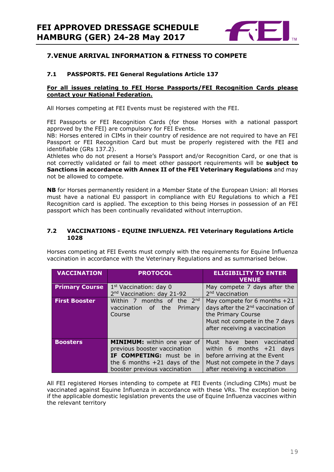

## **7.VENUE ARRIVAL INFORMATION & FITNESS TO COMPETE**

#### **7.1 PASSPORTS. FEI General Regulations Article 137**

#### **For all issues relating to FEI Horse Passports/FEI Recognition Cards please contact your National Federation.**

All Horses competing at FEI Events must be registered with the FEI.

FEI Passports or FEI Recognition Cards (for those Horses with a national passport approved by the FEI) are compulsory for FEI Events.

NB: Horses entered in CIMs in their country of residence are not required to have an FEI Passport or FEI Recognition Card but must be properly registered with the FEI and identifiable (GRs 137.2).

Athletes who do not present a Horse's Passport and/or Recognition Card, or one that is not correctly validated or fail to meet other passport requirements will be **subject to Sanctions in accordance with Annex II of the FEI Veterinary Regulations** and may not be allowed to compete.

**NB** for Horses permanently resident in a Member State of the European Union: all Horses must have a national EU passport in compliance with EU Regulations to which a FEI Recognition card is applied. The exception to this being Horses in possession of an FEI passport which has been continually revalidated without interruption.

#### **7.2 VACCINATIONS - EQUINE INFLUENZA. FEI Veterinary Regulations Article 1028**

Horses competing at FEI Events must comply with the requirements for Equine Influenza vaccination in accordance with the Veterinary Regulations and as summarised below.

| VACCINATION           | <b>PROTOCOL</b>                        | <b>ELIGIBILITY TO ENTER</b><br><b>VENUE</b>   |  |
|-----------------------|----------------------------------------|-----------------------------------------------|--|
| <b>Primary Course</b> | $1st$ Vaccination: day 0               | May compete 7 days after the                  |  |
|                       | 2 <sup>nd</sup> Vaccination: day 21-92 | 2 <sup>nd</sup> Vaccination                   |  |
| <b>First Booster</b>  | Within 7 months of the 2nd             | May compete for 6 months $+21$                |  |
|                       | the<br>vaccination of<br>Primary       | days after the 2 <sup>nd</sup> vaccination of |  |
|                       | Course                                 | the Primary Course                            |  |
|                       |                                        | Must not compete in the 7 days                |  |
|                       |                                        | after receiving a vaccination                 |  |
|                       |                                        |                                               |  |
| <b>Boosters</b>       | <b>MINIMUM:</b> within one year of     | Must<br>have been<br>vaccinated               |  |
|                       | previous booster vaccination           | within 6 months $+21$ days                    |  |
|                       | IF COMPETING: must be in               | before arriving at the Event                  |  |
|                       | the 6 months $+21$ days of the         | Must not compete in the 7 days                |  |
|                       | booster previous vaccination           | after receiving a vaccination                 |  |

All FEI registered Horses intending to compete at FEI Events (including CIMs) must be vaccinated against Equine Influenza in accordance with these VRs. The exception being if the applicable domestic legislation prevents the use of Equine Influenza vaccines within the relevant territory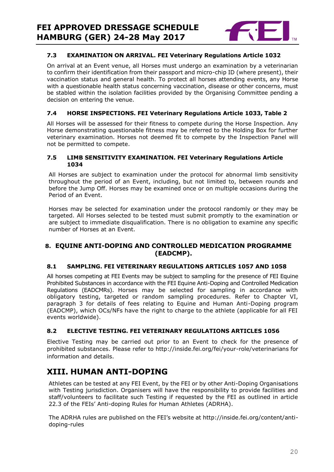

#### **7.3 EXAMINATION ON ARRIVAL. FEI Veterinary Regulations Article 1032**

On arrival at an Event venue, all Horses must undergo an examination by a veterinarian to confirm their identification from their passport and micro-chip ID (where present), their vaccination status and general health. To protect all horses attending events, any Horse with a questionable health status concerning vaccination, disease or other concerns, must be stabled within the isolation facilities provided by the Organising Committee pending a decision on entering the venue.

#### **7.4 HORSE INSPECTIONS. FEI Veterinary Regulations Article 1033, Table 2**

All Horses will be assessed for their fitness to compete during the Horse Inspection. Any Horse demonstrating questionable fitness may be referred to the Holding Box for further veterinary examination. Horses not deemed fit to compete by the Inspection Panel will not be permitted to compete.

#### **7.5 LIMB SENSITIVITY EXAMINATION. FEI Veterinary Regulations Article 1034**

All Horses are subject to examination under the protocol for abnormal limb sensitivity throughout the period of an Event, including, but not limited to, between rounds and before the Jump Off. Horses may be examined once or on multiple occasions during the Period of an Event.

Horses may be selected for examination under the protocol randomly or they may be targeted. All Horses selected to be tested must submit promptly to the examination or are subject to immediate disqualification. There is no obligation to examine any specific number of Horses at an Event.

#### **8. EQUINE ANTI-DOPING AND CONTROLLED MEDICATION PROGRAMME (EADCMP).**

#### **8.1 SAMPLING. FEI VETERINARY REGULATIONS ARTICLES 1057 AND 1058**

All horses competing at FEI Events may be subject to sampling for the presence of FEI Equine Prohibited Substances in accordance with the FEI Equine Anti-Doping and Controlled Medication Regulations (EADCMRs). Horses may be selected for sampling in accordance with obligatory testing, targeted or random sampling procedures. Refer to Chapter VI, paragraph 3 for details of fees relating to Equine and Human Anti-Doping program (EADCMP), which OCs/NFs have the right to charge to the athlete (applicable for all FEI events worldwide).

#### **8.2 ELECTIVE TESTING. FEI VETERINARY REGULATIONS ARTICLES 1056**

Elective Testing may be carried out prior to an Event to check for the presence of prohibited substances. Please refer to http://inside.fei.org/fei/your-role/veterinarians for information and details.

# **XIII. HUMAN ANTI-DOPING**

Athletes can be tested at any FEI Event, by the FEI or by other Anti-Doping Organisations with Testing jurisdiction. Organisers will have the responsibility to provide facilities and staff/volunteers to facilitate such Testing if requested by the FEI as outlined in article 22.3 of the FEIs' Anti-doping Rules for Human Athletes (ADRHA).

The ADRHA rules are published on the FEI's website at http://inside.fei.org/content/antidoping-rules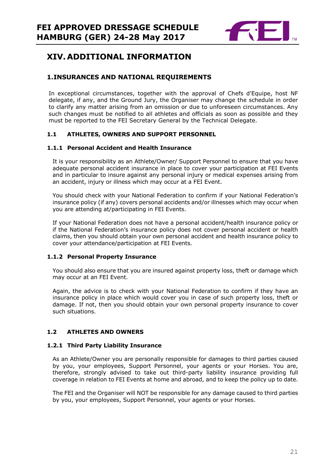

# **XIV. ADDITIONAL INFORMATION**

#### **1.INSURANCES AND NATIONAL REQUIREMENTS**

In exceptional circumstances, together with the approval of Chefs d'Equipe, host NF delegate, if any, and the Ground Jury, the Organiser may change the schedule in order to clarify any matter arising from an omission or due to unforeseen circumstances. Any such changes must be notified to all athletes and officials as soon as possible and they must be reported to the FEI Secretary General by the Technical Delegate.

#### **1.1 ATHLETES, OWNERS AND SUPPORT PERSONNEL**

#### **1.1.1 Personal Accident and Health Insurance**

It is your responsibility as an Athlete/Owner/ Support Personnel to ensure that you have adequate personal accident insurance in place to cover your participation at FEI Events and in particular to insure against any personal injury or medical expenses arising from an accident, injury or illness which may occur at a FEI Event.

You should check with your National Federation to confirm if your National Federation's insurance policy (if any) covers personal accidents and/or illnesses which may occur when you are attending at/participating in FEI Events.

If your National Federation does not have a personal accident/health insurance policy or if the National Federation's insurance policy does not cover personal accident or health claims, then you should obtain your own personal accident and health insurance policy to cover your attendance/participation at FEI Events.

#### **1.1.2 Personal Property Insurance**

You should also ensure that you are insured against property loss, theft or damage which may occur at an FEI Event.

Again, the advice is to check with your National Federation to confirm if they have an insurance policy in place which would cover you in case of such property loss, theft or damage. If not, then you should obtain your own personal property insurance to cover such situations.

#### **1.2 ATHLETES AND OWNERS**

#### **1.2.1 Third Party Liability Insurance**

As an Athlete/Owner you are personally responsible for damages to third parties caused by you, your employees, Support Personnel, your agents or your Horses. You are, therefore, strongly advised to take out third-party liability insurance providing full coverage in relation to FEI Events at home and abroad, and to keep the policy up to date.

The FEI and the Organiser will NOT be responsible for any damage caused to third parties by you, your employees, Support Personnel, your agents or your Horses.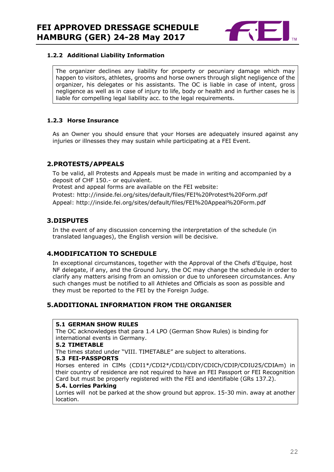

#### **1.2.2 Additional Liability Information**

The organizer declines any liability for property or pecuniary damage which may happen to visitors, athletes, grooms and horse owners through slight negligence of the organizer, his delegates or his assistants. The OC is liable in case of intent, gross negligence as well as in case of injury to life, body or health and in further cases he is liable for compelling legal liability acc. to the legal requirements.

#### **1.2.3 Horse Insurance**

As an Owner you should ensure that your Horses are adequately insured against any injuries or illnesses they may sustain while participating at a FEI Event.

#### **2.PROTESTS/APPEALS**

To be valid, all Protests and Appeals must be made in writing and accompanied by a deposit of CHF 150.- or equivalent.

Protest and appeal forms are available on the FEI website:

Protest: http://inside.fei.org/sites/default/files/FEI%20Protest%20Form.pdf Appeal: http://inside.fei.org/sites/default/files/FEI%20Appeal%20Form.pdf

#### **3.DISPUTES**

In the event of any discussion concerning the interpretation of the schedule (in translated languages), the English version will be decisive.

#### **4.MODIFICATION TO SCHEDULE**

In exceptional circumstances, together with the Approval of the Chefs d'Equipe, host NF delegate, if any, and the Ground Jury, the OC may change the schedule in order to clarify any matters arising from an omission or due to unforeseen circumstances. Any such changes must be notified to all Athletes and Officials as soon as possible and they must be reported to the FEI by the Foreign Judge.

#### **5.ADDITIONAL INFORMATION FROM THE ORGANISER**

#### **5.1 GERMAN SHOW RULES**

The OC acknowledges that para 1.4 LPO (German Show Rules) is binding for international events in Germany.

#### **5.2 TIMETABLE**

The times stated under "VIII. TIMETABLE" are subject to alterations.

#### **5.3 FEI-PASSPORTS**

Horses entered in CIMs (CDI1\*/CDI2\*/CDIJ/CDIY/CDICh/CDIP/CDIU25/CDIAm) in their country of residence are not required to have an FEI Passport or FEI Recognition Card but must be properly registered with the FEI and identifiable (GRs 137.2).

#### **5.4. Lorries Parking**

Lorries will not be parked at the show ground but approx. 15-30 min. away at another location.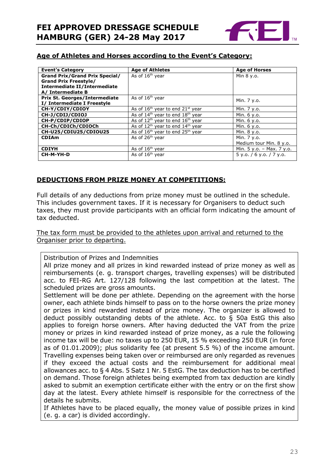

## **Age of Athletes and Horses according to the Event's Category:**

| <b>Event's Category</b>               | <b>Age of Athletes</b>                     | <b>Age of Horses</b>        |
|---------------------------------------|--------------------------------------------|-----------------------------|
| <b>Grand Prix/Grand Prix Special/</b> | As of 16 <sup>th</sup> year                | Min 8 y.o.                  |
| <b>Grand Prix Freestyle/</b>          |                                            |                             |
| Intermediate II/Intermediate          |                                            |                             |
| A/ Intermediate B                     |                                            |                             |
| <b>Prix St. Georges/Intermediate</b>  | As of 16 <sup>th</sup> year                |                             |
| I/ Intermediate I Freestyle           |                                            | Min. 7 y.o.                 |
| CH-Y/CDIY/CDIOY                       | As of $16th$ year to end $21st$ year       | Min. 7 y.o.                 |
| CH-J/CDIJ/CDIOJ                       | As of $14th$ year to end $18th$ year       | Min. 6 y.o.                 |
| CH-P/CDIP/CDIOP                       | As of $12^{th}$ year to end $16^{th}$ year | Min. 6 y.o.                 |
| CH-Ch/CDICh/CDIOCh                    | As of $12^{th}$ year to end $14^{th}$ year | Min. 6 y.o.                 |
| CH-U25/CDIU25/CDIOU25                 | As of $16th$ year to end $25th$ year       | Min. 8 y.o.                 |
| <b>CDIAm</b>                          | As of 26 <sup>th</sup> year                | Min. 7 y.o.                 |
|                                       |                                            | Medium tour Min. 8 y.o.     |
| <b>CDIYH</b>                          | As of $16th$ year                          | Min. $5 y.o. - Max. 7 y.o.$ |
| CH-M-YH-D                             | As of 16 <sup>th</sup> year                | 5 y.o. / 6 y.o. / 7 y.o.    |

## **DEDUCTIONS FROM PRIZE MONEY AT COMPETITIONS:**

Full details of any deductions from prize money must be outlined in the schedule. This includes government taxes. If it is necessary for Organisers to deduct such taxes, they must provide participants with an official form indicating the amount of tax deducted.

The tax form must be provided to the athletes upon arrival and returned to the Organiser prior to departing.

Distribution of Prizes and Indemnities

All prize money and all prizes in kind rewarded instead of prize money as well as reimbursements (e. g. transport charges, travelling expenses) will be distributed acc. to FEI-RG Art. 127/128 following the last competition at the latest. The scheduled prizes are gross amounts.

Settlement will be done per athlete. Depending on the agreement with the horse owner, each athlete binds himself to pass on to the horse owners the prize money or prizes in kind rewarded instead of prize money. The organizer is allowed to deduct possibly outstanding debts of the athlete. Acc. to § 50a EstG this also applies to foreign horse owners. After having deducted the VAT from the prize money or prizes in kind rewarded instead of prize money, as a rule the following income tax will be due: no taxes up to 250 EUR, 15 % exceeding 250 EUR (in force as of 01.01.2009); plus solidarity fee (at present 5.5 %) of the income amount. Travelling expenses being taken over or reimbursed are only regarded as revenues if they exceed the actual costs and the reimbursement for additional meal allowances acc. to § 4 Abs. 5 Satz 1 Nr. 5 EstG. The tax deduction has to be certified on demand. Those foreign athletes being exempted from tax deduction are kindly asked to submit an exemption certificate either with the entry or on the first show day at the latest. Every athlete himself is responsible for the correctness of the details he submits.

If Athletes have to be placed equally, the money value of possible prizes in kind (e. g. a car) is divided accordingly.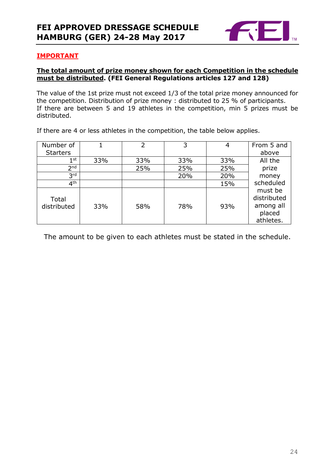

#### **IMPORTANT**

#### **The total amount of prize money shown for each Competition in the schedule must be distributed. (FEI General Regulations articles 127 and 128)**

The value of the 1st prize must not exceed 1/3 of the total prize money announced for the competition. Distribution of prize money : distributed to 25 % of participants. If there are between 5 and 19 athletes in the competition, min 5 prizes must be distributed.

If there are 4 or less athletes in the competition, the table below applies.

| Number of            |     | 2   | 3   | 4   | From 5 and                                                 |
|----------------------|-----|-----|-----|-----|------------------------------------------------------------|
| <b>Starters</b>      |     |     |     |     | above                                                      |
| 1 st                 | 33% | 33% | 33% | 33% | All the                                                    |
| 2 <sub>nd</sub>      |     | 25% | 25% | 25% | prize                                                      |
| 3 <sup>rd</sup>      |     |     | 20% | 20% | money                                                      |
| 4 <sup>th</sup>      |     |     |     | 15% | scheduled                                                  |
| Total<br>distributed | 33% | 58% | 78% | 93% | must be<br>distributed<br>among all<br>placed<br>athletes. |

The amount to be given to each athletes must be stated in the schedule.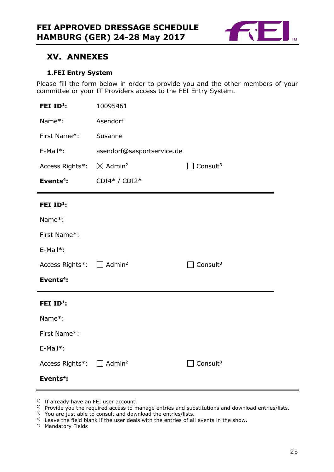

# **XV. ANNEXES**

#### **1.FEI Entry System**

Please fill the form below in order to provide you and the other members of your committee or your IT Providers access to the FEI Entry System.

| FEI ID <sup>1</sup> :                             | 10095461                       |                      |  |
|---------------------------------------------------|--------------------------------|----------------------|--|
| Name*:                                            | Asendorf                       |                      |  |
| First Name*:                                      | Susanne                        |                      |  |
| E-Mail*:                                          | asendorf@sasportservice.de     |                      |  |
| Access Rights*:                                   | $\boxtimes$ Admin <sup>2</sup> | Consult <sup>3</sup> |  |
| Events <sup>4</sup> :                             | CDI4* / CDI2*                  |                      |  |
| FEI ID <sup>1</sup> :                             |                                |                      |  |
| Name*:                                            |                                |                      |  |
| First Name*:                                      |                                |                      |  |
| E-Mail*:                                          |                                |                      |  |
| Access Rights <sup>*</sup> : □ Admin <sup>2</sup> |                                | Consult $3$          |  |
| Events <sup>4</sup> :                             |                                |                      |  |
| FEI ID <sup>1</sup> :                             |                                |                      |  |
| Name*:                                            |                                |                      |  |
| First Name*:                                      |                                |                      |  |
| E-Mail*:                                          |                                |                      |  |
| Access Rights*: $\Box$                            | Admin <sup>2</sup>             | Consult $3$          |  |
| Events $4$ :                                      |                                |                      |  |

- <sup>1)</sup> If already have an FEI user account.
- <sup>2)</sup> Provide you the required access to manage entries and substitutions and download entries/lists.
- 3) You are just able to consult and download the entries/lists.
- <sup>4)</sup> Leave the field blank if the user deals with the entries of all events in the show.
- \*) Mandatory Fields